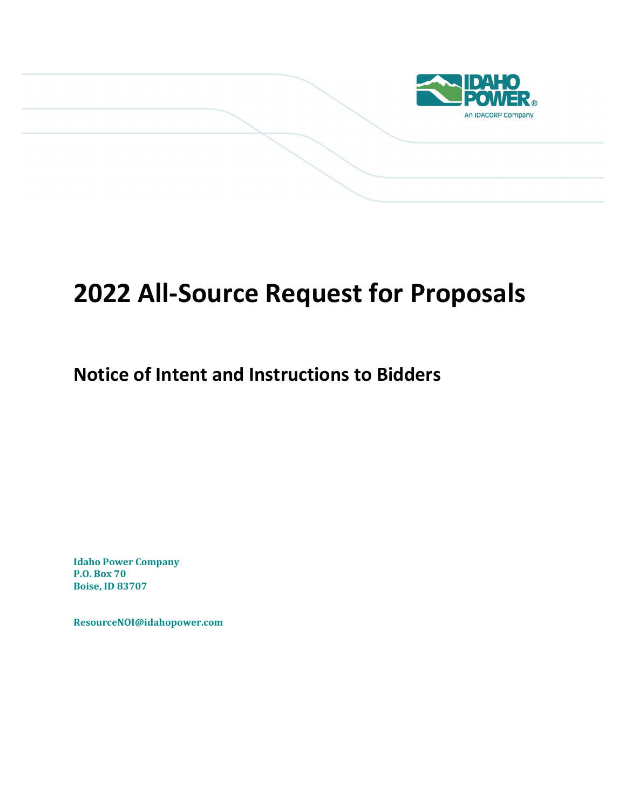

# **2022 All-Source Request for Proposals**

# **Notice of Intent and Instructions to Bidders**

**Idaho Power Company P.O. Box 70 Boise, ID 83707**

**ResourceNOI@idahopower.com**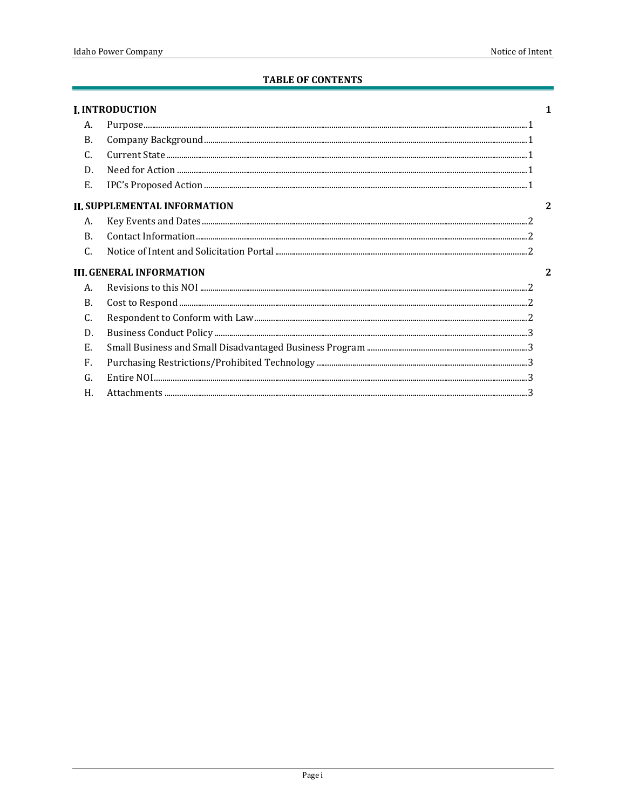#### **TABLE OF CONTENTS**

|                                      | <b>I. INTRODUCTION</b>                                                                                                                                                                                                                                                                                                                                                                                                                                                                     |  |
|--------------------------------------|--------------------------------------------------------------------------------------------------------------------------------------------------------------------------------------------------------------------------------------------------------------------------------------------------------------------------------------------------------------------------------------------------------------------------------------------------------------------------------------------|--|
| А.                                   |                                                                                                                                                                                                                                                                                                                                                                                                                                                                                            |  |
| <b>B.</b>                            | $\begin{minipage}{0.9\linewidth} \textbf{Purpose} \textbf{\texttt{}} \textbf{\texttt{}} \textbf{\texttt{}} \textbf{\texttt{}} \textbf{\texttt{}} \textbf{\texttt{}} \textbf{\texttt{}} \textbf{\texttt{}} \textbf{\texttt{}} \textbf{\texttt{}} \textbf{\texttt{}} \textbf{\texttt{}} \textbf{\texttt{}} \textbf{\texttt{}} \textbf{\texttt{}} \textbf{\texttt{}} \textbf{\texttt{}} \textbf{\texttt{}} \textbf{\texttt{}} \textbf{\texttt{}} \textbf{\texttt{}} \textbf{\texttt{}} \text$ |  |
| C.                                   |                                                                                                                                                                                                                                                                                                                                                                                                                                                                                            |  |
| D.                                   |                                                                                                                                                                                                                                                                                                                                                                                                                                                                                            |  |
| E.                                   |                                                                                                                                                                                                                                                                                                                                                                                                                                                                                            |  |
|                                      | <b>II. SUPPLEMENTAL INFORMATION</b>                                                                                                                                                                                                                                                                                                                                                                                                                                                        |  |
| А.                                   |                                                                                                                                                                                                                                                                                                                                                                                                                                                                                            |  |
| $\mathbf{B}$ .                       |                                                                                                                                                                                                                                                                                                                                                                                                                                                                                            |  |
| $\mathcal{C}$ .                      |                                                                                                                                                                                                                                                                                                                                                                                                                                                                                            |  |
| <b>III. GENERAL INFORMATION</b><br>2 |                                                                                                                                                                                                                                                                                                                                                                                                                                                                                            |  |
| Α.                                   |                                                                                                                                                                                                                                                                                                                                                                                                                                                                                            |  |
| B                                    |                                                                                                                                                                                                                                                                                                                                                                                                                                                                                            |  |
| C.                                   |                                                                                                                                                                                                                                                                                                                                                                                                                                                                                            |  |
| D.                                   |                                                                                                                                                                                                                                                                                                                                                                                                                                                                                            |  |
| Ε.                                   |                                                                                                                                                                                                                                                                                                                                                                                                                                                                                            |  |
| F.                                   |                                                                                                                                                                                                                                                                                                                                                                                                                                                                                            |  |
| G.                                   |                                                                                                                                                                                                                                                                                                                                                                                                                                                                                            |  |
| Η.                                   |                                                                                                                                                                                                                                                                                                                                                                                                                                                                                            |  |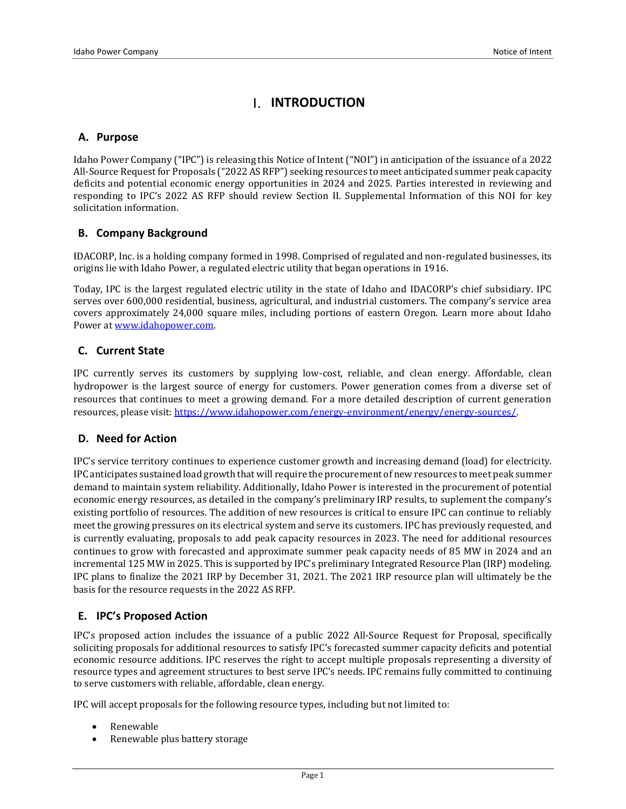## <span id="page-4-0"></span>**I. INTRODUCTION**

#### <span id="page-4-1"></span>**A. Purpose**

Idaho Power Company ("IPC") is releasing this Notice of Intent ("NOI") in anticipation of the issuance of a 2022 All-Source Request for Proposals ("2022 AS RFP") seeking resources to meet anticipated summer peak capacity deficits and potential economic energy opportunities in 2024 and 2025. Parties interested in reviewing and responding to IPC's 2022 AS RFP should review Section II. Supplemental Information of this NOI for key solicitation information.

#### <span id="page-4-2"></span>**B. Company Background**

IDACORP, Inc. is a holding company formed in 1998. Comprised of regulated and non-regulated businesses, its origins lie with Idaho Power, a regulated electric utility that began operations in 1916.

Today, IPC is the largest regulated electric utility in the state of Idaho and IDACORP's chief subsidiary. IPC serves over 600,000 residential, business, agricultural, and industrial customers. The company's service area covers approximately 24,000 square miles, including portions of eastern Oregon. Learn more about Idaho Power a[t www.idahopower.com.](http://www.idahopower.com/)

#### <span id="page-4-3"></span>**C. Current State**

IPC currently serves its customers by supplying low-cost, reliable, and clean energy. Affordable, clean hydropower is the largest source of energy for customers. Power generation comes from a diverse set of resources that continues to meet a growing demand. For a more detailed description of current generation resources, please visit[: https://www.idahopower.com/energy-environment/energy/energy-sources/.](https://www.idahopower.com/energy-environment/energy/energy-sources/)

#### <span id="page-4-4"></span>**D. Need for Action**

IPC's service territory continues to experience customer growth and increasing demand (load) for electricity. IPC anticipates sustained load growth that will require the procurement of new resources to meet peak summer demand to maintain system reliability. Additionally, Idaho Power is interested in the procurement of potential economic energy resources, as detailed in the company's preliminary IRP results, to suplement the company's existing portfolio of resources. The addition of new resources is critical to ensure IPC can continue to reliably meet the growing pressures on its electrical system and serve its customers. IPC has previously requested, and is currently evaluating, proposals to add peak capacity resources in 2023. The need for additional resources continues to grow with forecasted and approximate summer peak capacity needs of 85 MW in 2024 and an incremental 125 MW in 2025. This is supported by IPC's preliminary Integrated Resource Plan (IRP) modeling. IPC plans to finalize the 2021 IRP by December 31, 2021. The 2021 IRP resource plan will ultimately be the basis for the resource requests in the 2022 AS RFP.

#### <span id="page-4-5"></span>**E. IPC's Proposed Action**

IPC's proposed action includes the issuance of a public 2022 All-Source Request for Proposal, specifically soliciting proposals for additional resources to satisfy IPC's forecasted summer capacity deficits and potential economic resource additions. IPC reserves the right to accept multiple proposals representing a diversity of resource types and agreement structures to best serve IPC's needs. IPC remains fully committed to continuing to serve customers with reliable, affordable, clean energy.

IPC will accept proposals for the following resource types, including but not limited to:

- Renewable
- Renewable plus battery storage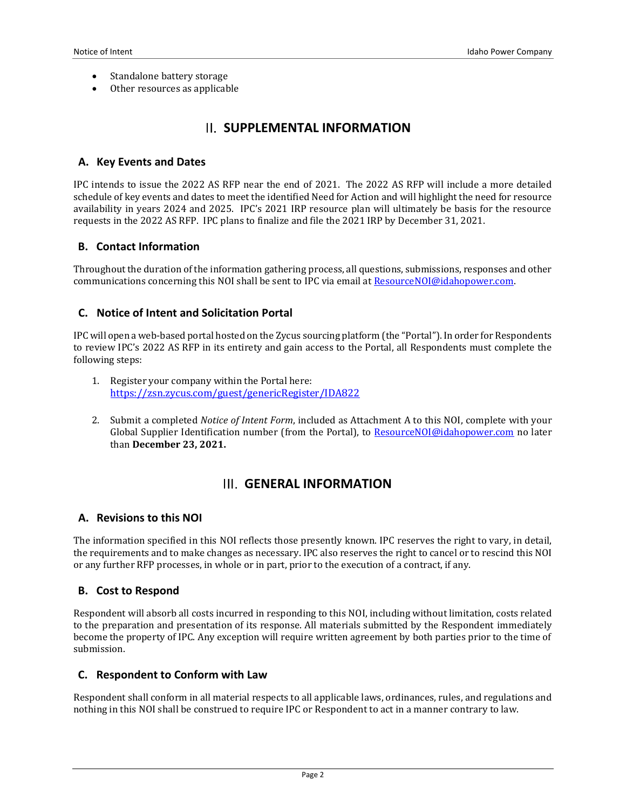- Standalone battery storage
- <span id="page-5-0"></span>Other resources as applicable

# **II. SUPPLEMENTAL INFORMATION**

#### <span id="page-5-1"></span>**A. Key Events and Dates**

IPC intends to issue the 2022 AS RFP near the end of 2021. The 2022 AS RFP will include a more detailed schedule of key events and dates to meet the identified Need for Action and will highlight the need for resource availability in years 2024 and 2025. IPC's 2021 IRP resource plan will ultimately be basis for the resource requests in the 2022 AS RFP. IPC plans to finalize and file the 2021 IRP by December 31, 2021.

#### <span id="page-5-2"></span>**B. Contact Information**

Throughout the duration of the information gathering process, all questions, submissions, responses and other communications concerning this NOI shall be sent to IPC via email at ResourceNOI@idahopower.com.

#### <span id="page-5-3"></span>**C. Notice of Intent and Solicitation Portal**

IPC will open a web-based portal hosted on the Zycus sourcing platform (the "Portal"). In order for Respondents to review IPC's 2022 AS RFP in its entirety and gain access to the Portal, all Respondents must complete the following steps:

- 1. Register your company within the Portal here: <https://zsn.zycus.com/guest/genericRegister/IDA822>
- <span id="page-5-4"></span>2. Submit a completed *Notice of Intent Form*, included as Attachment A to this NOI, complete with your Global Supplier Identification number (from the Portal), to [ResourceNOI@idahopower.com](mailto:ResourceNOI@idahopower.com) no later than **December 23, 2021.**

### **GENERAL INFORMATION**

#### <span id="page-5-5"></span>**A. Revisions to this NOI**

The information specified in this NOI reflects those presently known. IPC reserves the right to vary, in detail, the requirements and to make changes as necessary. IPC also reserves the right to cancel or to rescind this NOI or any further RFP processes, in whole or in part, prior to the execution of a contract, if any.

#### <span id="page-5-6"></span>**B. Cost to Respond**

Respondent will absorb all costs incurred in responding to this NOI, including without limitation, costs related to the preparation and presentation of its response. All materials submitted by the Respondent immediately become the property of IPC. Any exception will require written agreement by both parties prior to the time of submission.

#### <span id="page-5-7"></span>**C. Respondent to Conform with Law**

Respondent shall conform in all material respects to all applicable laws, ordinances, rules, and regulations and nothing in this NOI shall be construed to require IPC or Respondent to act in a manner contrary to law.